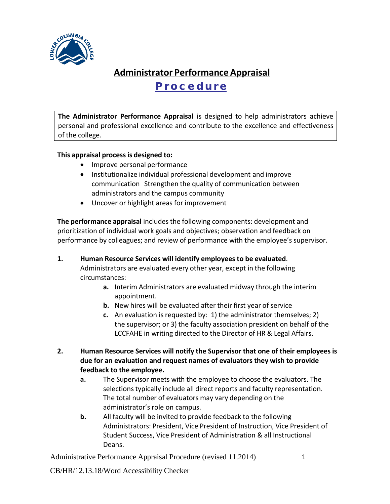

## **Administrator PerformanceAppraisal Procedure**

**The Administrator Performance Appraisal** is designed to help administrators achieve personal and professional excellence and contribute to the excellence and effectiveness of the college.

## **This appraisal processis designed to:**

- Improve personal performance
- Institutionalize individual professional development and improve communication Strengthen the quality of communication between administrators and the campus community
- Uncover or highlight areas for improvement

**The performance appraisal** includesthe following components: development and prioritization of individual work goals and objectives; observation and feedback on performance by colleagues; and review of performance with the employee's supervisor.

- **1. Human Resource Services will identify employees to be evaluated**. Administrators are evaluated every other year, except in the following circumstances:
	- **a.** Interim Administrators are evaluated midway through the interim appointment.
	- **b.** New hires will be evaluated after their first year of service
	- **c.** An evaluation is requested by: 1) the administrator themselves; 2) the supervisor; or 3) the faculty association president on behalf of the LCCFAHE in writing directed to the Director of HR & Legal Affairs.
- **2. Human Resource Services will notify the Supervisor that one of their employees is due for an evaluation and request names of evaluators they wish to provide feedback to the employee.**
	- **a.** The Supervisor meets with the employee to choose the evaluators. The selections typically include all direct reports and faculty representation. The total number of evaluators may vary depending on the administrator's role on campus.
	- **b.** All faculty will be invited to provide feedback to the following Administrators: President, Vice President of Instruction, Vice President of Student Success, Vice President of Administration & all Instructional Deans.

Administrative Performance Appraisal Procedure (revised 11.2014) 1